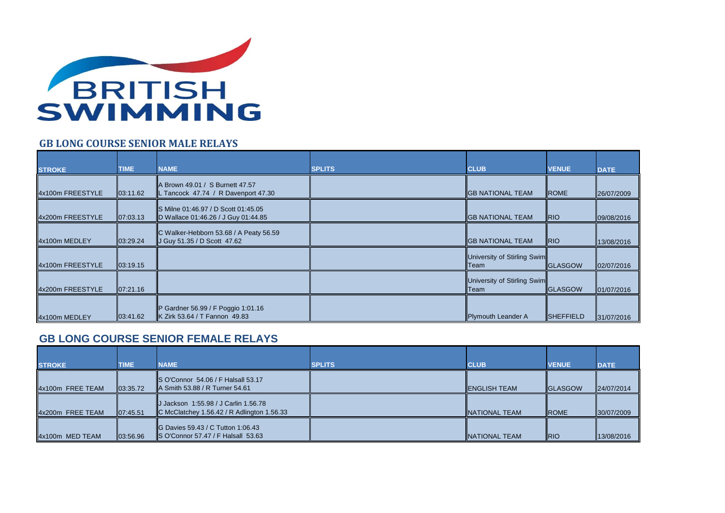

## **GB LONG COURSE SENIOR MALE RELAYS**

| <b>STROKE</b>    | <b>TIME</b> | <b>NAME</b>                                                                | <b>SPLITS</b> | <b>CLUB</b>                                | <b>VENUE</b>      | <b>DATE</b> |
|------------------|-------------|----------------------------------------------------------------------------|---------------|--------------------------------------------|-------------------|-------------|
| 4x100m FREESTYLE | 03:11.62    | A Brown 49.01 / S Burnett 47.57<br>Tancock 47.74 / R Davenport 47.30       |               | <b>IGB NATIONAL TEAM</b>                   | <b>ROME</b>       | 26/07/2009  |
| 4x200m FREESTYLE | 07:03.13    | S Milne 01:46.97 / D Scott 01:45.05<br>D Wallace 01:46.26 / J Guy 01:44.85 |               | <b>IGB NATIONAL TEAM</b>                   | <b>RIO</b>        | 09/08/2016  |
| 4x100m MEDLEY    | 03:29.24    | C Walker-Hebborn 53.68 / A Peaty 56.59<br>J Guy 51.35 / D Scott 47.62      |               | <b>IGB NATIONAL TEAM</b>                   | <b>RIO</b>        | 13/08/2016  |
| 4x100m FREESTYLE | 03:19.15    |                                                                            |               | University of Stirling Swim<br><b>Team</b> | <b>IGLASGOW</b>   | 02/07/2016  |
| 4x200m FREESTYLE | 107:21.16   |                                                                            |               | University of Stirling Swim<br>Team        | <b>IGLASGOW</b>   | 01/07/2016  |
| 4x100m MEDLEY    | 03:41.62    | P Gardner 56.99 / F Poggio 1:01.16<br>K Zirk 53.64 / T Fannon 49.83        |               | Plymouth Leander A                         | <b>ISHEFFIELD</b> | 31/07/2016  |

## **GB LONG COURSE SENIOR FEMALE RELAYS**

|                  | <b>TIME</b>          | <b>NAME</b>                                                                        | <b>SPLITS</b> | <b>CLUB</b>           | <b>VENUE</b>    |             |
|------------------|----------------------|------------------------------------------------------------------------------------|---------------|-----------------------|-----------------|-------------|
| <b>STROKE</b>    |                      |                                                                                    |               |                       |                 | <b>DATE</b> |
| 4x100m FREE TEAM | $\parallel$ 03:35.72 | S O'Connor 54.06 / F Halsall 53.17<br>A Smith 53.88 / R Turner 54.61               |               | <b>IENGLISH TEAM</b>  | <b>IGLASGOW</b> | 24/07/2014  |
| 4x200m FREE TEAM | 07:45.51             | J Jackson 1:55.98 / J Carlin 1.56.78<br>C McClatchey 1.56.42 / R Adlington 1.56.33 |               | <b>INATIONAL TEAM</b> | <b>IROME</b>    | 30/07/2009  |
| 4x100m MED TEAM  | 03:56.96             | <b>IG Davies 59.43 / C Tutton 1:06.43</b><br>S O'Connor 57.47 / F Halsall 53.63    |               | <b>INATIONAL TEAM</b> | <b>RIO</b>      | 13/08/2016  |